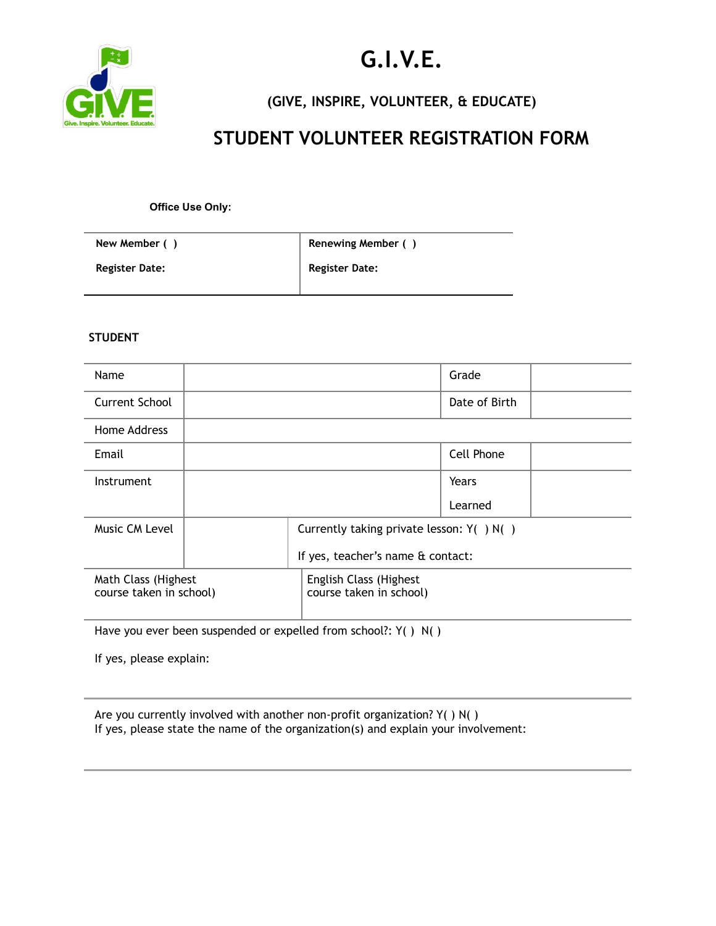

# **G.I.V.E.**

**(GIVE, INSPIRE, VOLUNTEER, & EDUCATE)**

## **STUDENT VOLUNTEER REGISTRATION FORM**

**Office Use Only:** 

| New Member ()         | Renewing Member ()    |
|-----------------------|-----------------------|
| <b>Register Date:</b> | <b>Register Date:</b> |

#### **STUDENT**

| Grade                                             |
|---------------------------------------------------|
| Date of Birth                                     |
|                                                   |
| Cell Phone                                        |
| Years                                             |
| Learned                                           |
| Currently taking private lesson: $Y( ) N( )$      |
| If yes, teacher's name & contact:                 |
| English Class (Highest<br>course taken in school) |
|                                                   |

Have you ever been suspended or expelled from school?: Y( ) N( )

If yes, please explain:

| Are you currently involved with another non-profit organization? $Y( ) N( )$       |
|------------------------------------------------------------------------------------|
| If yes, please state the name of the organization(s) and explain your involvement: |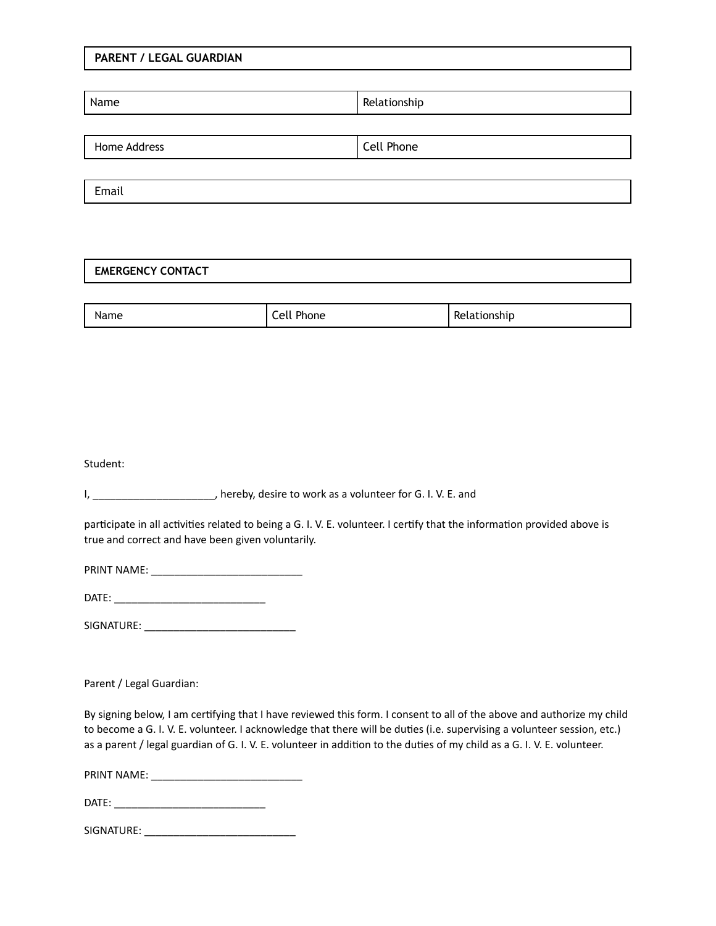#### **PARENT / LEGAL GUARDIAN**

| Name         | Relationship |
|--------------|--------------|
|              |              |
| Home Address | Cell Phone   |
|              |              |
| Email        |              |

#### **EMERGENCY CONTACT**

| Name<br>$-1 - 1 - 1 - 1 = 1$ | ച<br>$\sim$<br>mone | ----<br>'SNIL<br>$\sim$ |
|------------------------------|---------------------|-------------------------|

Student:

participate in all activities related to being a G. I. V. E. volunteer. I certify that the information provided above is true and correct and have been given voluntarily.

PRINT NAME: \_\_\_\_\_\_\_\_\_\_\_\_\_\_\_\_\_\_\_\_\_\_\_\_\_\_

DATE: \_\_\_\_\_\_\_\_\_\_\_\_\_\_\_\_\_\_\_\_\_\_\_\_\_\_

SIGNATURE: \_\_\_\_\_\_\_\_\_\_\_\_\_\_\_\_\_\_\_\_\_\_\_\_\_\_

Parent / Legal Guardian:

By signing below, I am certifying that I have reviewed this form. I consent to all of the above and authorize my child to become a G. I. V. E. volunteer. I acknowledge that there will be duties (i.e. supervising a volunteer session, etc.) as a parent / legal guardian of G. I. V. E. volunteer in addition to the duties of my child as a G. I. V. E. volunteer.

PRINT NAME: \_\_\_\_\_\_\_\_\_\_\_\_\_\_\_\_\_\_\_\_\_\_\_\_\_\_

DATE: \_\_\_\_\_\_\_\_\_\_\_\_\_\_\_\_\_\_\_\_\_\_\_\_\_\_

SIGNATURE: \_\_\_\_\_\_\_\_\_\_\_\_\_\_\_\_\_\_\_\_\_\_\_\_\_\_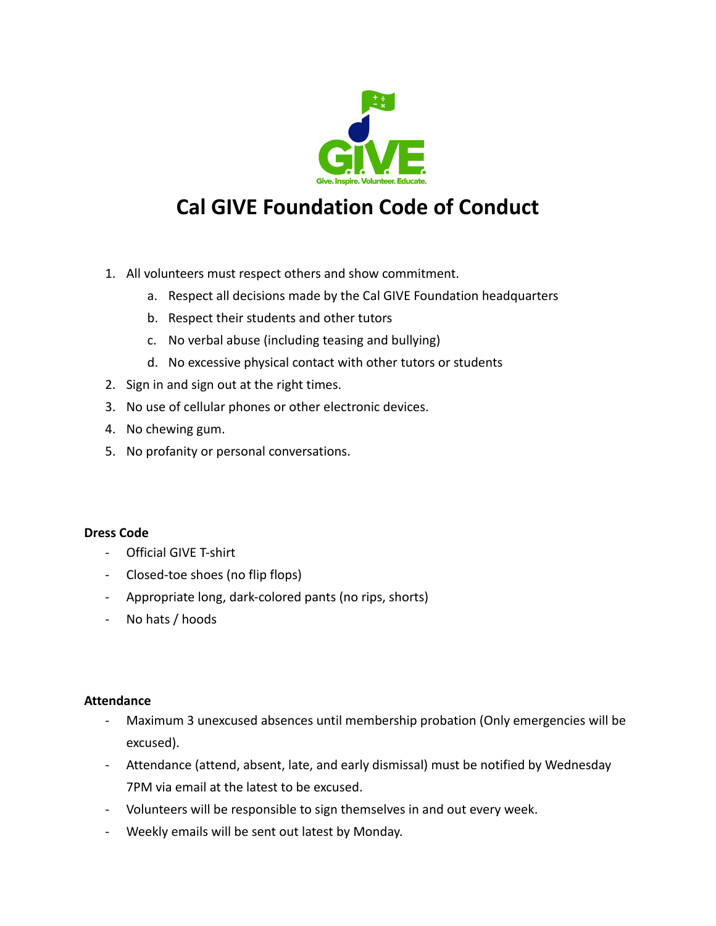

## **Cal GIVE Foundation Code of Conduct**

- 1. All volunteers must respect others and show commitment.
	- a. Respect all decisions made by the Cal GIVE Foundation headquarters
	- b. Respect their students and other tutors
	- c. No verbal abuse (including teasing and bullying)
	- d. No excessive physical contact with other tutors or students
- 2. Sign in and sign out at the right times.
- 3. No use of cellular phones or other electronic devices.
- 4. No chewing gum.
- 5. No profanity or personal conversations.

#### **Dress Code**

- Official GIVE T-shirt
- Closed-toe shoes (no flip flops)
- Appropriate long, dark-colored pants (no rips, shorts)
- No hats / hoods

#### **Attendance**

- Maximum 3 unexcused absences until membership probation (Only emergencies will be excused).
- Attendance (attend, absent, late, and early dismissal) must be notified by Wednesday 7PM via email at the latest to be excused.
- Volunteers will be responsible to sign themselves in and out every week.
- Weekly emails will be sent out latest by Monday.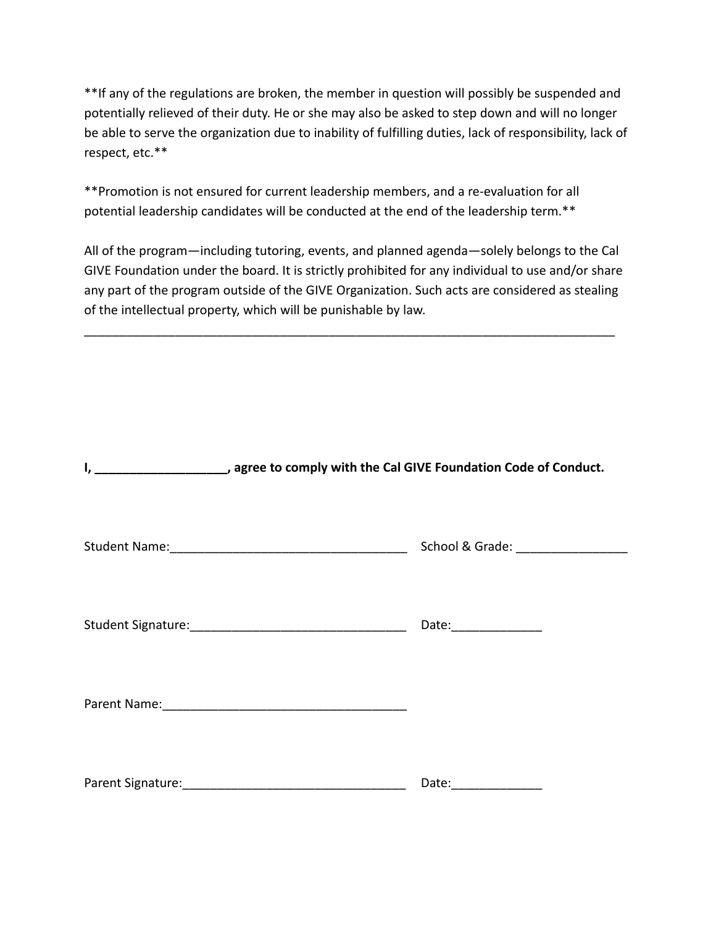\*\*If any of the regulations are broken, the member in question will possibly be suspended and potentially relieved of their duty. He or she may also be asked to step down and will no longer be able to serve the organization due to inability of fulfilling duties, lack of responsibility, lack of respect, etc.\*\*

\*\*Promotion is not ensured for current leadership members, and a re-evaluation for all potential leadership candidates will be conducted at the end of the leadership term.\*\*

All of the program—including tutoring, events, and planned agenda—solely belongs to the Cal GIVE Foundation under the board. It is strictly prohibited for any individual to use and/or share any part of the program outside of the GIVE Organization. Such acts are considered as stealing of the intellectual property, which will be punishable by law.

\_\_\_\_\_\_\_\_\_\_\_\_\_\_\_\_\_\_\_\_\_\_\_\_\_\_\_\_\_\_\_\_\_\_\_\_\_\_\_\_\_\_\_\_\_\_\_\_\_\_\_\_\_\_\_\_\_\_\_\_\_\_\_\_\_\_\_\_\_\_\_\_\_\_\_\_

| I, ___________________, agree to comply with the Cal GIVE Foundation Code of Conduct. |                                     |
|---------------------------------------------------------------------------------------|-------------------------------------|
|                                                                                       | School & Grade: ___________________ |
|                                                                                       | Date:_______________                |
|                                                                                       |                                     |
| Parent Signature: Management Signature:                                               | Date: ___________                   |